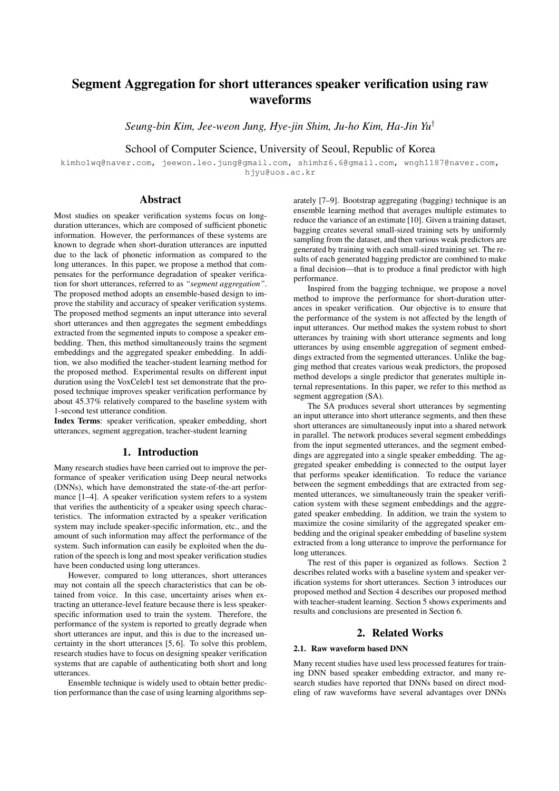# Segment Aggregation for short utterances speaker verification using raw waveforms

*Seung-bin Kim, Jee-weon Jung, Hye-jin Shim, Ju-ho Kim, Ha-Jin Yu*†

School of Computer Science, University of Seoul, Republic of Korea

kimho1wq@naver.com, jeewon.leo.jung@gmail.com, shimhz6.6@gmail.com, wngh1187@naver.com, .<br>hjvu@uos.ac.kr

# Abstract

Most studies on speaker verification systems focus on longduration utterances, which are composed of sufficient phonetic information. However, the performances of these systems are known to degrade when short-duration utterances are inputted due to the lack of phonetic information as compared to the long utterances. In this paper, we propose a method that compensates for the performance degradation of speaker verification for short utterances, referred to as *"segment aggregation"*. The proposed method adopts an ensemble-based design to improve the stability and accuracy of speaker verification systems. The proposed method segments an input utterance into several short utterances and then aggregates the segment embeddings extracted from the segmented inputs to compose a speaker embedding. Then, this method simultaneously trains the segment embeddings and the aggregated speaker embedding. In addition, we also modified the teacher-student learning method for the proposed method. Experimental results on different input duration using the VoxCeleb1 test set demonstrate that the proposed technique improves speaker verification performance by about 45.37% relatively compared to the baseline system with 1-second test utterance condition.

Index Terms: speaker verification, speaker embedding, short utterances, segment aggregation, teacher-student learning

# 1. Introduction

Many research studies have been carried out to improve the performance of speaker verification using Deep neural networks (DNNs), which have demonstrated the state-of-the-art performance [1–4]. A speaker verification system refers to a system that verifies the authenticity of a speaker using speech characteristics. The information extracted by a speaker verification system may include speaker-specific information, etc., and the amount of such information may affect the performance of the system. Such information can easily be exploited when the duration of the speech is long and most speaker verification studies have been conducted using long utterances.

However, compared to long utterances, short utterances may not contain all the speech characteristics that can be obtained from voice. In this case, uncertainty arises when extracting an utterance-level feature because there is less speakerspecific information used to train the system. Therefore, the performance of the system is reported to greatly degrade when short utterances are input, and this is due to the increased uncertainty in the short utterances [5, 6]. To solve this problem, research studies have to focus on designing speaker verification systems that are capable of authenticating both short and long utterances.

Ensemble technique is widely used to obtain better prediction performance than the case of using learning algorithms sep-

arately [7–9]. Bootstrap aggregating (bagging) technique is an ensemble learning method that averages multiple estimates to reduce the variance of an estimate [10]. Given a training dataset, bagging creates several small-sized training sets by uniformly sampling from the dataset, and then various weak predictors are generated by training with each small-sized training set. The results of each generated bagging predictor are combined to make a final decision—that is to produce a final predictor with high performance.

Inspired from the bagging technique, we propose a novel method to improve the performance for short-duration utterances in speaker verification. Our objective is to ensure that the performance of the system is not affected by the length of input utterances. Our method makes the system robust to short utterances by training with short utterance segments and long utterances by using ensemble aggregation of segment embeddings extracted from the segmented utterances. Unlike the bagging method that creates various weak predictors, the proposed method develops a single predictor that generates multiple internal representations. In this paper, we refer to this method as segment aggregation (SA).

The SA produces several short utterances by segmenting an input utterance into short utterance segments, and then these short utterances are simultaneously input into a shared network in parallel. The network produces several segment embeddings from the input segmented utterances, and the segment embeddings are aggregated into a single speaker embedding. The aggregated speaker embedding is connected to the output layer that performs speaker identification. To reduce the variance between the segment embeddings that are extracted from segmented utterances, we simultaneously train the speaker verification system with these segment embeddings and the aggregated speaker embedding. In addition, we train the system to maximize the cosine similarity of the aggregated speaker embedding and the original speaker embedding of baseline system extracted from a long utterance to improve the performance for long utterances.

The rest of this paper is organized as follows. Section 2 describes related works with a baseline system and speaker verification systems for short utterances. Section 3 introduces our proposed method and Section 4 describes our proposed method with teacher-student learning. Section 5 shows experiments and results and conclusions are presented in Section 6.

# 2. Related Works

### 2.1. Raw waveform based DNN

Many recent studies have used less processed features for training DNN based speaker embedding extractor, and many research studies have reported that DNNs based on direct modeling of raw waveforms have several advantages over DNNs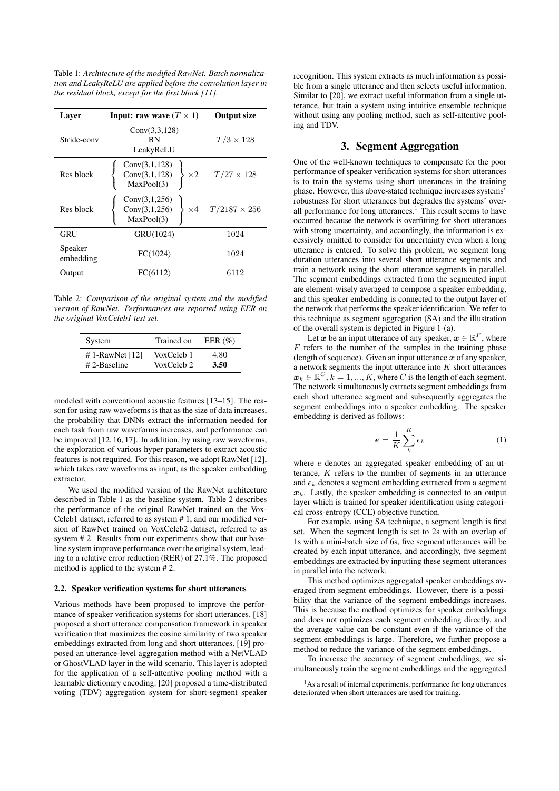Table 1: *Architecture of the modified RawNet. Batch normalization and LeakyReLU are applied before the convolution layer in the residual block, except for the first block [11].*

| Layer                | <b>Input:</b> raw wave $(T \times 1)$        | <b>Output size</b>             |  |
|----------------------|----------------------------------------------|--------------------------------|--|
| Stride-conv          | Conv(3,3,128)<br><b>BN</b><br>LeakyReLU      | $T/3 \times 128$               |  |
| Res block            | Conv(3,1,128)<br>Conv(3,1,128)<br>MaxPool(3) | $\times 2$ $T/27 \times 128$   |  |
| Res block            | Conv(3,1,256)<br>Conv(3,1,256)<br>MaxPool(3) | $\times 4$ $T/2187 \times 256$ |  |
| GRU                  | GRU(1024)                                    | 1024                           |  |
| Speaker<br>embedding | FC(1024)                                     | 1024                           |  |
| Output               | FC(6112)                                     | 6112                           |  |

Table 2: *Comparison of the original system and the modified version of RawNet. Performances are reported using EER on the original VoxCeleb1 test set.*

| System            | Trained on | EER $(\% )$ |
|-------------------|------------|-------------|
| # 1-RawNet $[12]$ | VoxCeleb 1 | 4.80        |
| $# 2$ -Baseline   | VoxCeleb 2 | 3.50        |

modeled with conventional acoustic features [13–15]. The reason for using raw waveforms is that as the size of data increases, the probability that DNNs extract the information needed for each task from raw waveforms increases, and performance can be improved [12, 16, 17]. In addition, by using raw waveforms, the exploration of various hyper-parameters to extract acoustic features is not required. For this reason, we adopt RawNet [12], which takes raw waveforms as input, as the speaker embedding extractor.

We used the modified version of the RawNet architecture described in Table 1 as the baseline system. Table 2 describes the performance of the original RawNet trained on the Vox-Celeb1 dataset, referred to as system # 1, and our modified version of RawNet trained on VoxCeleb2 dataset, referred to as system # 2. Results from our experiments show that our baseline system improve performance over the original system, leading to a relative error reduction (RER) of 27.1%. The proposed method is applied to the system # 2.

#### 2.2. Speaker verification systems for short utterances

Various methods have been proposed to improve the performance of speaker verification systems for short utterances. [18] proposed a short utterance compensation framework in speaker verification that maximizes the cosine similarity of two speaker embeddings extracted from long and short utterances. [19] proposed an utterance-level aggregation method with a NetVLAD or GhostVLAD layer in the wild scenario. This layer is adopted for the application of a self-attentive pooling method with a learnable dictionary encoding. [20] proposed a time-distributed voting (TDV) aggregation system for short-segment speaker recognition. This system extracts as much information as possible from a single utterance and then selects useful information. Similar to [20], we extract useful information from a single utterance, but train a system using intuitive ensemble technique without using any pooling method, such as self-attentive pooling and TDV.

# 3. Segment Aggregation

One of the well-known techniques to compensate for the poor performance of speaker verification systems for short utterances is to train the systems using short utterances in the training phase. However, this above-stated technique increases systems' robustness for short utterances but degrades the systems' overall performance for long utterances.<sup>1</sup> This result seems to have occurred because the network is overfitting for short utterances with strong uncertainty, and accordingly, the information is excessively omitted to consider for uncertainty even when a long utterance is entered. To solve this problem, we segment long duration utterances into several short utterance segments and train a network using the short utterance segments in parallel. The segment embeddings extracted from the segmented input are element-wisely averaged to compose a speaker embedding, and this speaker embedding is connected to the output layer of the network that performs the speaker identification. We refer to this technique as segment aggregation (SA) and the illustration of the overall system is depicted in Figure 1-(a).

Let x be an input utterance of any speaker,  $x \in \mathbb{R}^F$ , where  $F$  refers to the number of the samples in the training phase (length of sequence). Given an input utterance  $x$  of any speaker, a network segments the input utterance into  $K$  short utterances  $\mathbf{x}_k \in \mathbb{R}^C$ ,  $k = 1, ..., K$ , where C is the length of each segment. The network simultaneously extracts segment embeddings from each short utterance segment and subsequently aggregates the segment embeddings into a speaker embedding. The speaker embedding is derived as follows:

$$
e = \frac{1}{K} \sum_{k}^{K} e_k \tag{1}
$$

where  $e$  denotes an aggregated speaker embedding of an utterance, K refers to the number of segments in an utterance and e<sup>k</sup> denotes a segment embedding extracted from a segment  $x_k$ . Lastly, the speaker embedding is connected to an output layer which is trained for speaker identification using categorical cross-entropy (CCE) objective function.

For example, using SA technique, a segment length is first set. When the segment length is set to 2s with an overlap of 1s with a mini-batch size of 6s, five segment utterances will be created by each input utterance, and accordingly, five segment embeddings are extracted by inputting these segment utterances in parallel into the network.

This method optimizes aggregated speaker embeddings averaged from segment embeddings. However, there is a possibility that the variance of the segment embeddings increases. This is because the method optimizes for speaker embeddings and does not optimizes each segment embedding directly, and the average value can be constant even if the variance of the segment embeddings is large. Therefore, we further propose a method to reduce the variance of the segment embeddings.

To increase the accuracy of segment embeddings, we simultaneously train the segment embeddings and the aggregated

<sup>&</sup>lt;sup>1</sup>As a result of internal experiments, performance for long utterances deteriorated when short utterances are used for training.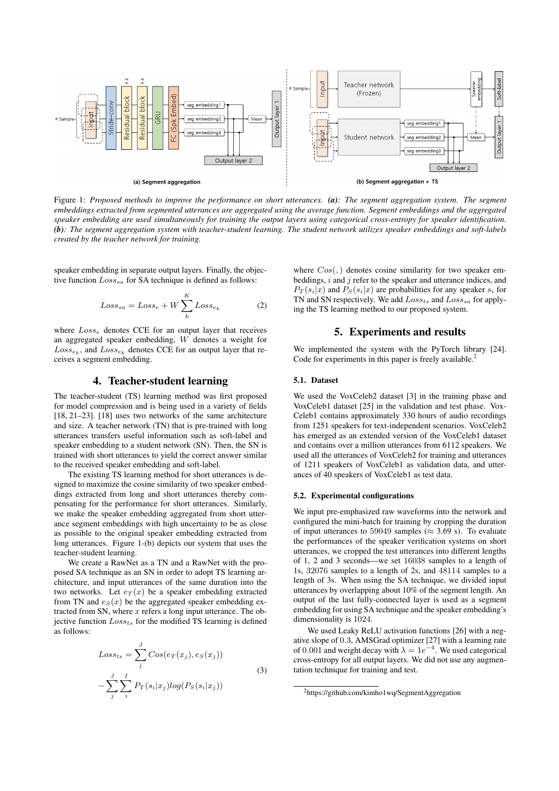

Figure 1: *Proposed methods to improve the performance on short utterances. (a): The segment aggregation system. The segment embeddings extracted from segmented utterances are aggregated using the average function. Segment embeddings and the aggregated speaker embedding are used simultaneously for training the output layers using categorical cross-entropy for speaker identification. (b): The segment aggregation system with teacher-student learning. The student network utilizes speaker embeddings and soft-labels created by the teacher network for training.*

speaker embedding in separate output layers. Finally, the objective function  $Loss_{sa}$  for SA technique is defined as follows:

$$
Loss_{sa} = Loss_e + W \sum_{k}^{K} Loss_{e_k}
$$
 (2)

where  $Loss_e$  denotes CCE for an output layer that receives an aggregated speaker embedding, W denotes a weight for  $Loss_{e_k}$ , and  $Loss_{e_k}$  denotes CCE for an output layer that receives a segment embedding.

# 4. Teacher-student learning

The teacher-student (TS) learning method was first proposed for model compression and is being used in a variety of fields [18, 21–23]. [18] uses two networks of the same architecture and size. A teacher network (TN) that is pre-trained with long utterances transfers useful information such as soft-label and speaker embedding to a student network (SN). Then, the SN is trained with short utterances to yield the correct answer similar to the received speaker embedding and soft-label.

The existing TS learning method for short utterances is designed to maximize the cosine similarity of two speaker embeddings extracted from long and short utterances thereby compensating for the performance for short utterances. Similarly, we make the speaker embedding aggregated from short utterance segment embeddings with high uncertainty to be as close as possible to the original speaker embedding extracted from long utterances. Figure 1-(b) depicts our system that uses the teacher-student learning.

We create a RawNet as a TN and a RawNet with the proposed SA technique as an SN in order to adopt TS learning architecture, and input utterances of the same duration into the two networks. Let  $e_T(x)$  be a speaker embedding extracted from TN and  $e_S(x)$  be the aggregated speaker embedding extracted from SN, where  $x$  refers a long input utterance. The objective function  $Loss_{ts}$  for the modified TS learning is defined as follows:

$$
Loss_{ts} = \sum_{j}^{J} Cos(e_T(x_j), e_S(x_j))
$$

$$
-\sum_{j}^{J} \sum_{i}^{I} P_T(s_i|x_j) log(P_S(s_i|x_j))
$$
(3)

where  $Cos($ , a denotes cosine similarity for two speaker embeddings,  $i$  and  $j$  refer to the speaker and utterance indices, and  $P_T(s_i|x)$  and  $P_S(s_i|x)$  are probabilities for any speaker  $s_i$  for TN and SN respectively. We add  $Loss_{ts}$  and  $Loss_{sa}$  for applying the TS learning method to our proposed system.

## 5. Experiments and results

We implemented the system with the PyTorch library [24]. Code for experiments in this paper is freely available.<sup>2</sup>

#### 5.1. Dataset

We used the VoxCeleb2 dataset [3] in the training phase and VoxCeleb1 dataset [25] in the validation and test phase. Vox-Celeb1 contains approximately 330 hours of audio recordings from 1251 speakers for text-independent scenarios. VoxCeleb2 has emerged as an extended version of the VoxCeleb1 dataset and contains over a million utterances from 6112 speakers. We used all the utterances of VoxCeleb2 for training and utterances of 1211 speakers of VoxCeleb1 as validation data, and utterances of 40 speakers of VoxCeleb1 as test data.

#### 5.2. Experimental configurations

We input pre-emphasized raw waveforms into the network and configured the mini-batch for training by cropping the duration of input utterances to 59049 samples ( $\approx$  3.69 s). To evaluate the performances of the speaker verification systems on short utterances, we cropped the test utterances into different lengths of 1, 2 and 3 seconds—we set 16038 samples to a length of 1s, 32076 samples to a length of 2s, and 48114 samples to a length of 3s. When using the SA technique, we divided input utterances by overlapping about 10% of the segment length. An output of the last fully-connected layer is used as a segment embedding for using SA technique and the speaker embedding's dimensionality is 1024.

We used Leaky ReLU activation functions [26] with a negative slope of 0.3, AMSGrad optimizer [27] with a learning rate of 0.001 and weight decay with  $\lambda = 1e^{-4}$ . We used categorical cross-entropy for all output layers. We did not use any augmentation technique for training and test.

<sup>2</sup>https://github.com/kimho1wq/SegmentAggregation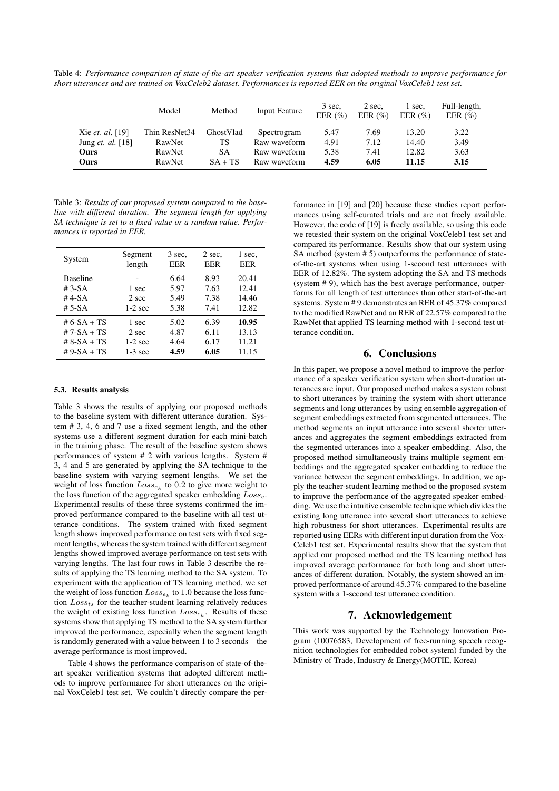Table 4: *Performance comparison of state-of-the-art speaker verification systems that adopted methods to improve performance for short utterances and are trained on VoxCeleb2 dataset. Performances is reported EER on the original VoxCeleb1 test set.*

|                          | Model         | Method    | <b>Input Feature</b> | 3 sec.<br>EER $(\% )$ | 2 sec.<br>EER $(\%)$ | l sec.<br>EER $(\% )$ | Full-length,<br>EER $(\% )$ |
|--------------------------|---------------|-----------|----------------------|-----------------------|----------------------|-----------------------|-----------------------------|
| Xie et. al. [19]         | Thin ResNet34 | GhostVlad | Spectrogram          | 5.47                  | 7.69                 | 13.20                 | 3.22                        |
| Jung <i>et. al.</i> [18] | RawNet        | TS        | Raw waveform         | 4.91                  | 7.12                 | 14.40                 | 3.49                        |
| Ours                     | RawNet        | SА        | Raw waveform         | 5.38                  | 7.41                 | 12.82                 | 3.63                        |
| Ours                     | RawNet        | $SA + TS$ | Raw waveform         | 4.59                  | 6.05                 | 11.15                 | 3.15                        |

Table 3: *Results of our proposed system compared to the baseline with different duration. The segment length for applying SA technique is set to a fixed value or a random value. Performances is reported in EER.*

| System                                            | Segment                     | 3 sec.                       | 2 sec.                       | 1 sec.                           |
|---------------------------------------------------|-----------------------------|------------------------------|------------------------------|----------------------------------|
|                                                   | length                      | EER                          | EER                          | EER                              |
| <b>Baseline</b><br>$#3-SA$<br>$#4-SA$<br>$# 5-SA$ | 1 sec<br>2 sec<br>$1-2$ sec | 6.64<br>5.97<br>5.49<br>5.38 | 8.93<br>7.63<br>7.38<br>7.41 | 20.41<br>12.41<br>14.46<br>12.82 |
| # 6-SA + TS                                       | 1 sec                       | 5.02                         | 6.39                         | 10.95                            |
| # 7-SA + TS                                       | 2 sec                       | 4.87                         | 6.11                         | 13.13                            |
| # $8-SA + TS$                                     | $1-2$ sec                   | 4.64                         | 6.17                         | 11.21                            |
| $# 9-SA + TS$                                     | $1-3$ sec                   | 4.59                         | 6.05                         | 11.15                            |

#### 5.3. Results analysis

Table 3 shows the results of applying our proposed methods to the baseline system with different utterance duration. System # 3, 4, 6 and 7 use a fixed segment length, and the other systems use a different segment duration for each mini-batch in the training phase. The result of the baseline system shows performances of system # 2 with various lengths. System # 3, 4 and 5 are generated by applying the SA technique to the baseline system with varying segment lengths. We set the weight of loss function  $Loss_{e_k}$  to 0.2 to give more weight to the loss function of the aggregated speaker embedding  $Loss_{e}$ . Experimental results of these three systems confirmed the improved performance compared to the baseline with all test utterance conditions. The system trained with fixed segment length shows improved performance on test sets with fixed segment lengths, whereas the system trained with different segment lengths showed improved average performance on test sets with varying lengths. The last four rows in Table 3 describe the results of applying the TS learning method to the SA system. To experiment with the application of TS learning method, we set the weight of loss function  $Loss_{e_k}$  to 1.0 because the loss function  $Loss_{ts}$  for the teacher-student learning relatively reduces the weight of existing loss function  $Loss_{e_k}$ . Results of these systems show that applying TS method to the SA system further improved the performance, especially when the segment length is randomly generated with a value between 1 to 3 seconds—the average performance is most improved.

Table 4 shows the performance comparison of state-of-theart speaker verification systems that adopted different methods to improve performance for short utterances on the original VoxCeleb1 test set. We couldn't directly compare the per-

formance in [19] and [20] because these studies report performances using self-curated trials and are not freely available. However, the code of [19] is freely available, so using this code we retested their system on the original VoxCeleb1 test set and compared its performance. Results show that our system using SA method (system # 5) outperforms the performance of stateof-the-art systems when using 1-second test utterances with EER of 12.82%. The system adopting the SA and TS methods (system # 9), which has the best average performance, outperforms for all length of test utterances than other start-of-the-art systems. System # 9 demonstrates an RER of 45.37% compared to the modified RawNet and an RER of 22.57% compared to the RawNet that applied TS learning method with 1-second test utterance condition.

# 6. Conclusions

In this paper, we propose a novel method to improve the performance of a speaker verification system when short-duration utterances are input. Our proposed method makes a system robust to short utterances by training the system with short utterance segments and long utterances by using ensemble aggregation of segment embeddings extracted from segmented utterances. The method segments an input utterance into several shorter utterances and aggregates the segment embeddings extracted from the segmented utterances into a speaker embedding. Also, the proposed method simultaneously trains multiple segment embeddings and the aggregated speaker embedding to reduce the variance between the segment embeddings. In addition, we apply the teacher-student learning method to the proposed system to improve the performance of the aggregated speaker embedding. We use the intuitive ensemble technique which divides the existing long utterance into several short utterances to achieve high robustness for short utterances. Experimental results are reported using EERs with different input duration from the Vox-Celeb1 test set. Experimental results show that the system that applied our proposed method and the TS learning method has improved average performance for both long and short utterances of different duration. Notably, the system showed an improved performance of around 45.37% compared to the baseline system with a 1-second test utterance condition.

## 7. Acknowledgement

This work was supported by the Technology Innovation Program (10076583, Development of free-running speech recognition technologies for embedded robot system) funded by the Ministry of Trade, Industry & Energy(MOTIE, Korea)